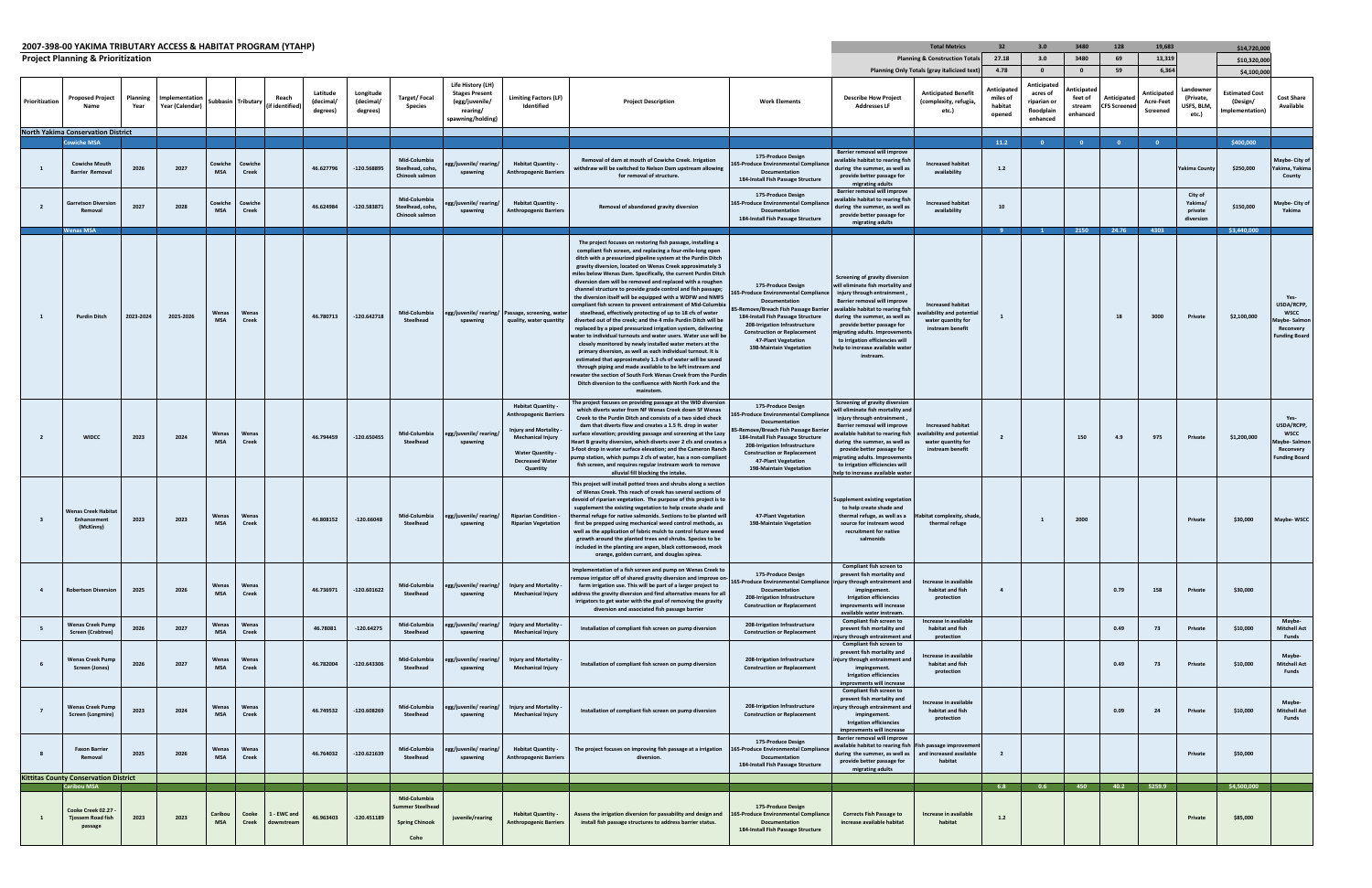## **2007‐398‐00 YAKIMA TRIBUTARY ACCESS &HABITAT PROGRAM**

|                                              | 2007-398-00 YAKIMA TRIBUTARY ACCESS & HABITAT PROGRAM (YTAHP)      |                  |                                  |                       |                         |                           |                                   |                                    |                                                                 |                                                                                               |                                                                                                                                                                                 |                                                                                                                                                                                                                                                                                                                                                                                                                                                                                                                                                                                                                                                                                                                                                                                                                                                                                                                                                                                                                                                                                                                                                                                                                                                          |                                                                                                                                                                                                                                                                                  |                                                                                                                                                                                                                                                                                                                                                          | <b>Total Metrics</b>                                                                                       | 32                                                   | 3.0                                                                                         | 3480                                                                    | 128                                    | 19,683                                        |                                                     | \$14,720,00                                                         |                                                                                       |
|----------------------------------------------|--------------------------------------------------------------------|------------------|----------------------------------|-----------------------|-------------------------|---------------------------|-----------------------------------|------------------------------------|-----------------------------------------------------------------|-----------------------------------------------------------------------------------------------|---------------------------------------------------------------------------------------------------------------------------------------------------------------------------------|----------------------------------------------------------------------------------------------------------------------------------------------------------------------------------------------------------------------------------------------------------------------------------------------------------------------------------------------------------------------------------------------------------------------------------------------------------------------------------------------------------------------------------------------------------------------------------------------------------------------------------------------------------------------------------------------------------------------------------------------------------------------------------------------------------------------------------------------------------------------------------------------------------------------------------------------------------------------------------------------------------------------------------------------------------------------------------------------------------------------------------------------------------------------------------------------------------------------------------------------------------|----------------------------------------------------------------------------------------------------------------------------------------------------------------------------------------------------------------------------------------------------------------------------------|----------------------------------------------------------------------------------------------------------------------------------------------------------------------------------------------------------------------------------------------------------------------------------------------------------------------------------------------------------|------------------------------------------------------------------------------------------------------------|------------------------------------------------------|---------------------------------------------------------------------------------------------|-------------------------------------------------------------------------|----------------------------------------|-----------------------------------------------|-----------------------------------------------------|---------------------------------------------------------------------|---------------------------------------------------------------------------------------|
| <b>Project Planning &amp; Prioritization</b> |                                                                    |                  |                                  |                       |                         |                           |                                   |                                    |                                                                 |                                                                                               |                                                                                                                                                                                 |                                                                                                                                                                                                                                                                                                                                                                                                                                                                                                                                                                                                                                                                                                                                                                                                                                                                                                                                                                                                                                                                                                                                                                                                                                                          | <b>Planning &amp; Construction Totals</b>                                                                                                                                                                                                                                        | 27.18                                                                                                                                                                                                                                                                                                                                                    | 3.0                                                                                                        | 3480                                                 | 69                                                                                          | 13,319                                                                  |                                        | \$10,320,000                                  |                                                     |                                                                     |                                                                                       |
| Prioritization                               | <b>Proposed Project</b>                                            | Planning<br>Year | mplementation<br>Year (Calendar) |                       | Subbasin Tributary      | Reach<br>(if identified   | Latitude<br>(decimal/<br>degrees) | Longitude<br>(decimal/<br>degrees) | Target/Focal<br><b>Species</b>                                  | Life History (LH)<br><b>Stages Present</b><br>(egg/juvenile/<br>rearing/<br>spawning/holding) | Limiting Factors (LF)<br>Identified                                                                                                                                             | <b>Project Description</b>                                                                                                                                                                                                                                                                                                                                                                                                                                                                                                                                                                                                                                                                                                                                                                                                                                                                                                                                                                                                                                                                                                                                                                                                                               | <b>Work Elements</b>                                                                                                                                                                                                                                                             | <b>Describe How Project</b><br><b>Addresses LF</b>                                                                                                                                                                                                                                                                                                       | Planning Only Totals (gray italicized text)<br><b>Anticipated Benefit</b><br>(complexity, refugia,<br>etc. | 4.78<br>Anticipated<br>miles of<br>habitat<br>opened | $\overline{\mathbf{0}}$<br>Anticipated<br>acres of<br>riparian or<br>floodplain<br>enhanced | $\overline{\mathbf{0}}$<br>Anticipated<br>feet of<br>stream<br>enhancec | 59<br>Anticipateo<br><b>FS Screene</b> | 6,364<br>Anticipateo<br>Acre-Feet<br>Screened | .andownei<br>(Private,<br><b>JSFS, BLM</b><br>etc.) | \$4,100,000<br><b>Estimated Cost</b><br>(Design/<br>Implementation) | <b>Cost Share</b><br>Available                                                        |
|                                              | <b>North Yakima Conservation District</b><br><b>Cowiche MSA</b>    |                  |                                  |                       |                         |                           |                                   |                                    |                                                                 |                                                                                               |                                                                                                                                                                                 |                                                                                                                                                                                                                                                                                                                                                                                                                                                                                                                                                                                                                                                                                                                                                                                                                                                                                                                                                                                                                                                                                                                                                                                                                                                          |                                                                                                                                                                                                                                                                                  |                                                                                                                                                                                                                                                                                                                                                          |                                                                                                            | 11.2                                                 | $\bullet$                                                                                   | $\overline{\mathbf{0}}$                                                 |                                        | $\overline{\mathbf{0}}$                       |                                                     | \$400,000                                                           |                                                                                       |
|                                              | <b>Cowiche Mouth</b><br><b>Barrier Removal</b>                     | 2026             | 2027                             | Cowiche<br><b>MSA</b> | Cowiche<br>Creek        |                           | 46.627796                         | -120.568895                        | Mid-Columbia<br>Steelhead, coho,<br>Chinook salmon              | gg/juvenile/rearing/<br>spawning                                                              | <b>Habitat Quantity -</b><br><b>Anthropogenic Barriers</b>                                                                                                                      | Removal of dam at mouth of Cowiche Creek. Irrigation<br>withdraw will be switched to Nelson Dam upstream allowing<br>for removal of structure.                                                                                                                                                                                                                                                                                                                                                                                                                                                                                                                                                                                                                                                                                                                                                                                                                                                                                                                                                                                                                                                                                                           | 175-Produce Design<br>55-Produce Environmental Compliano<br>Documentation<br>184-Install Fish Passage Structure                                                                                                                                                                  | Barrier removal will improve<br>available habitat to rearing fish<br>during the summer, as well as<br>provide better passage for<br>migrating adults                                                                                                                                                                                                     | <b>Increased habitat</b><br>availability                                                                   | 1.2                                                  |                                                                                             |                                                                         |                                        |                                               | Yakima County                                       | \$250,000                                                           | Maybe- City of<br>Yakima, Yakima<br>County                                            |
|                                              | <b>Garretson Diversio</b><br>Remova                                | 2027             | 2028                             | Cowiche<br><b>MSA</b> | Cowiche<br><b>Creek</b> |                           | 46.624984                         | -120.583871                        | Mid-Columbia<br>Steelhead, coho,<br>Chinook salmon              | gg/juvenile/rearing/<br>spawning                                                              | <b>Habitat Quantity -</b><br><b>Anthropogenic Barriers</b>                                                                                                                      | Removal of abandoned gravity diversion                                                                                                                                                                                                                                                                                                                                                                                                                                                                                                                                                                                                                                                                                                                                                                                                                                                                                                                                                                                                                                                                                                                                                                                                                   | 175-Produce Design<br>165-Produce Environmental Compliance<br>Documentation<br>184-Install Fish Passage Structure                                                                                                                                                                | Barrier removal will improve<br>available habitat to rearing fish<br>during the summer, as well as<br>provide better passage for<br>migrating adults                                                                                                                                                                                                     | <b>Increased habitat</b><br>availability                                                                   | 10                                                   |                                                                                             |                                                                         |                                        |                                               | City of<br>Yakima/<br>private<br>diversion          | \$150,000                                                           | Maybe- City o<br>Yakima                                                               |
|                                              | <b>Wenas MSA</b>                                                   |                  |                                  |                       |                         |                           |                                   |                                    |                                                                 |                                                                                               |                                                                                                                                                                                 |                                                                                                                                                                                                                                                                                                                                                                                                                                                                                                                                                                                                                                                                                                                                                                                                                                                                                                                                                                                                                                                                                                                                                                                                                                                          |                                                                                                                                                                                                                                                                                  |                                                                                                                                                                                                                                                                                                                                                          |                                                                                                            | -9                                                   |                                                                                             | 2150                                                                    | 24.76                                  | 4303                                          |                                                     | \$3,440,000                                                         |                                                                                       |
|                                              | <b>Purdin Ditch</b>                                                | 2023-2024        | 2025-2026                        | Wenas<br><b>MSA</b>   | Wenas<br><b>Creek</b>   |                           | 46.780713                         | $-120.642718$                      | Mid-Columbia<br>Steelhead                                       | spawning                                                                                      | egg/juvenile/rearing/ Passage, screening, wate<br>quality, water quantity                                                                                                       | The project focuses on restoring fish passage, installing a<br>compliant fish screen, and replacing a four-mile-long open<br>ditch with a pressurized pipeline system at the Purdin Ditch<br>gravity diversion, located on Wenas Creek approximately 3<br>miles below Wenas Dam. Specifically, the current Purdin Ditch<br>diversion dam will be removed and replaced with a roughen<br>channel structure to provide grade control and fish passage;<br>the diversion itself will be equipped with a WDFW and NMFS<br>compliant fish screen to prevent entrainment of Mid-Columbi<br>steelhead, effectively protecting of up to 18 cfs of water<br>diverted out of the creek; and the 4 mile Purdin Ditch will be<br>replaced by a piped pressurized irrigation system, delivering<br>water to individual turnouts and water users. Water use will be<br>closely monitored by newly installed water meters at the<br>primary diversion, as well as each individual turnout. It is<br>estimated that approximately 1.3 cfs of water will be saved<br>through piping and made available to be left instream and<br>rewater the section of South Fork Wenas Creek from the Purdin<br>Ditch diversion to the confluence with North Fork and the<br>mainstem. | 175-Produce Design<br>55-Produce Environmental Compliance<br>Documentation<br>-Remove/Breach Fish Passage Barrier<br>184-Install Fish Passage Structure<br>208-Irrigation Infrastructure<br><b>Construction or Replacement</b><br>47-Plant Vegetation<br>198-Maintain Vegetation | Screening of gravity diversion<br>will eliminate fish mortality and<br>injury through entrainment<br>Barrier removal will improve<br>available habitat to rearing fish<br>during the summer, as well as<br>provide better passage for<br>migrating adults. Improvemen<br>to irrigation efficiencies will<br>help to increase available wate<br>instream. | <b>Increased habitat</b><br>ilability and potentia<br>water quantity for<br>instream benefit               |                                                      |                                                                                             |                                                                         | 18                                     | 3000                                          | Private                                             | \$2,100,000                                                         | Yes-<br>USDA/RCPP<br><b>WSCC</b><br>Maybe-Salmo<br>Reconvery<br><b>Funding Board</b>  |
|                                              | <b>WIDCC</b>                                                       | 2023             | 2024                             | Wenas<br><b>MSA</b>   | Wenas<br>Creek          |                           | 46.794459                         | $-120.650455$                      | Mid-Columbia<br>Steelhead                                       | egg/juvenile/rearing<br>spawning                                                              | <b>Habitat Quantity -</b><br><b>Anthropogenic Barriers</b><br>Injury and Mortality<br><b>Mechanical Injury</b><br><b>Water Quantity -</b><br><b>Decreased Water</b><br>Quantity | The project focuses on providing passage at the WID diversion<br>which diverts water from NF Wenas Creek down SF Wenas<br>Creek to the Purdin Ditch and consists of a two sided check<br>dam that diverts flow and creates a 1.5 ft. drop in water<br>surface elevation; providing passage and screening at the Lazy<br>Heart B gravity diversion, which diverts over 2 cfs and creates a<br>3-foot drop in water surface elevation; and the Cameron Ranch<br>ump station, which pumps 2 cfs of water, has a non-compliant<br>fish screen, and requires regular instream work to remove<br>alluvial fill blocking the intake.                                                                                                                                                                                                                                                                                                                                                                                                                                                                                                                                                                                                                            | 175-Produce Design<br>55-Produce Environmental Compliance<br>Documentation<br>-Remove/Breach Fish Passage Barri<br>184-Install Fish Passage Structure<br>208-Irrigation Infrastructure<br><b>Construction or Replacement</b><br>47-Plant Vegetation<br>198-Maintain Vegetation   | Screening of gravity diversion<br>will eliminate fish mortality and<br>injury through entrainment<br>Barrier removal will improve<br>vailable habitat to rearing fish<br>during the summer, as well as<br>provide better passage for<br>nigrating adults. Improvement<br>to irrigation efficiencies will<br>help to increase available wate              | <b>Increased habitat</b><br>ailability and potentia<br>water quantity for<br>instream benefit              |                                                      |                                                                                             | 150                                                                     | 4.9                                    | 975                                           | Private                                             | \$1,200,000                                                         | Yes-<br>USDA/RCPP<br><b>WSCC</b><br>Maybe-Salmor<br>Reconvery<br><b>Funding Board</b> |
|                                              | <b>Nenas Creek Habitat</b><br>Enhancement<br>(McKinny)             | 2023             | 2023                             | Wenas<br><b>MSA</b>   | Wenas<br>Creek          |                           | 46.808152                         | $-120.66048$                       | Mid-Columbia<br>Steelhead                                       | egg/juvenile/rearing/<br>spawning                                                             | <b>Riparian Condition -</b><br><b>Riparian Vegetation</b>                                                                                                                       | This project will install potted trees and shrubs along a section<br>of Wenas Creek. This reach of creek has several sections of<br>devoid of riparian vegetation. The purpose of this project is to<br>supplement the existing vegetation to help create shade and<br>thermal refuge for native salmonids. Sections to be planted will<br>first be prepped using mechanical weed control methods, as<br>well as the application of fabric mulch to control future weed<br>growth around the planted trees and shrubs. Species to be<br>included in the planting are aspen, black cottonwood, mock<br>orange, golden currant, and douglas spirea.                                                                                                                                                                                                                                                                                                                                                                                                                                                                                                                                                                                                        | 47-Plant Vegetation<br>198-Maintain Vegetation                                                                                                                                                                                                                                   | Supplement existing vegetation<br>to help create shade and<br>thermal refuge, as well as a<br>source for instream wood<br>recruitment for native<br>salmonids                                                                                                                                                                                            | Habitat complexity, shade<br>thermal refuge                                                                |                                                      |                                                                                             | 2000                                                                    |                                        |                                               | Private                                             | \$30,000                                                            | Maybe-WSCC                                                                            |
| $\overline{a}$                               | <b>Robertson Diversion</b>                                         | 2025             | 2026                             | Wenas<br><b>MSA</b>   | Wenas<br><b>Creek</b>   |                           | 46.736971                         | $-120.601622$                      | Mid-Columbia<br>Steelhead                                       | egg/juvenile/rearing/<br>spawning                                                             | Injury and Mortality<br><b>Mechanical Injury</b>                                                                                                                                | Implementation of a fish screen and pump on Wenas Creek to<br>remove irrigator off of shared gravity diversion and improve on<br>farm irrigation use. This will be part of a larger project to<br>address the gravity diversion and find alternative means for all<br>irrigators to get water with the goal of removing the gravity<br>diversion and associated fish passage barrier                                                                                                                                                                                                                                                                                                                                                                                                                                                                                                                                                                                                                                                                                                                                                                                                                                                                     | 175-Produce Design<br>55-Produce Environmental Compliance   injury through entrainment and<br>Documentation<br>208-Irrigation Infrastructure<br><b>Construction or Replacement</b>                                                                                               | Compliant fish screen to<br>prevent fish mortality and<br>impingement.<br><b>Irrigation efficiencies</b><br>improvments will increase<br>available water instream.                                                                                                                                                                                       | Increase in available<br>habitat and fish<br>protection                                                    |                                                      |                                                                                             |                                                                         | 0.79                                   | 158                                           | Private                                             | \$30,000                                                            |                                                                                       |
|                                              | <b>Wenas Creek Pump</b><br><b>Screen (Crabtree)</b>                | 2026             | 2027                             | Wenas<br><b>MSA</b>   | Wenas<br><b>Creek</b>   |                           | 46.78081                          | $-120.64275$                       | Mid-Columbia<br>Steelhead                                       | gg/juvenile/rearing<br>spawning                                                               | Injury and Mortality<br><b>Mechanical Injury</b>                                                                                                                                | Installation of compliant fish screen on pump diversion                                                                                                                                                                                                                                                                                                                                                                                                                                                                                                                                                                                                                                                                                                                                                                                                                                                                                                                                                                                                                                                                                                                                                                                                  | 208-Irrigation Infrastructure<br><b>Construction or Replacement</b>                                                                                                                                                                                                              | <b>Compliant fish screen to</b><br>prevent fish mortality and                                                                                                                                                                                                                                                                                            | Increase in available<br>habitat and fish                                                                  |                                                      |                                                                                             |                                                                         | 0.49                                   | 73                                            | Private                                             | \$10,000                                                            | Maybe-<br><b>Mitchell Act</b>                                                         |
|                                              | <b>Wenas Creek Pump</b><br>Screen (Jones)                          | 2026             | 2027                             | Wenas<br><b>MSA</b>   | Wenas<br><b>Creek</b>   |                           | 46.782004                         | $-120.643306$                      | Mid-Columbia<br>Steelhead                                       | egg/juvenile/rearing/<br>spawning                                                             | Injury and Mortality -<br><b>Mechanical Injury</b>                                                                                                                              | Installation of compliant fish screen on pump diversion                                                                                                                                                                                                                                                                                                                                                                                                                                                                                                                                                                                                                                                                                                                                                                                                                                                                                                                                                                                                                                                                                                                                                                                                  | 208-Irrigation Infrastructure<br><b>Construction or Replacement</b>                                                                                                                                                                                                              | ijury through entrainment and<br><b>Compliant fish screen to</b><br>prevent fish mortality and<br>injury through entrainment and<br>impingement.<br><b>Irrigation efficiencies</b><br>improvments will increase                                                                                                                                          | protection<br>Increase in available<br>habitat and fish<br>protection                                      |                                                      |                                                                                             |                                                                         | 0.49                                   | 73                                            | Private                                             | \$10,000                                                            | Funds<br>Maybe-<br><b>Mitchell Act</b><br>Funds                                       |
|                                              | Wenas Creek Pump<br>Screen (Longmire)                              | 2023             | 2024                             | Wenas<br><b>MSA</b>   | Wenas<br><b>Creek</b>   |                           | 46.749532                         | $-120.608269$                      | Mid-Columbia<br>Steelhead                                       | egg/juvenile/rearing/<br>spawning                                                             | Injury and Mortality<br><b>Mechanical Injury</b>                                                                                                                                | Installation of compliant fish screen on pump diversion                                                                                                                                                                                                                                                                                                                                                                                                                                                                                                                                                                                                                                                                                                                                                                                                                                                                                                                                                                                                                                                                                                                                                                                                  | 208-Irrigation Infrastructure<br><b>Construction or Replacement</b>                                                                                                                                                                                                              | <b>Compliant fish screen to</b><br>prevent fish mortality and<br>injury through entrainment and<br>impingement.<br><b>Irrigation efficiencies</b><br>improvments will increase                                                                                                                                                                           | Increase in available<br>habitat and fish<br>protection                                                    |                                                      |                                                                                             |                                                                         | 0.09                                   | 24                                            | Private                                             | \$10,000                                                            | Maybe-<br><b>Mitchell Act</b><br>Funds                                                |
|                                              | <b>Faxon Barrier</b><br>Removal                                    | 2025             | 2026                             | Wenas<br><b>MSA</b>   | Wenas<br><b>Creek</b>   |                           | 46.764032                         | $-120.621639$                      | Mid-Columbia<br>Steelhead                                       | egg/juvenile/ rearing/<br>spawning                                                            | <b>Habitat Quantity -</b><br><b>Anthropogenic Barriers</b>                                                                                                                      | The project focuses on improving fish passage at a irrigation<br>diversion.                                                                                                                                                                                                                                                                                                                                                                                                                                                                                                                                                                                                                                                                                                                                                                                                                                                                                                                                                                                                                                                                                                                                                                              | 175-Produce Design<br>165-Produce Environmental Complianc<br><b>Documentation</b><br>184-Install Fish Passage Structure                                                                                                                                                          | Barrier removal will improve<br>available habitat to rearing fish Fish passage improvemen<br>during the summer, as well as<br>provide better passage for<br>migrating adults                                                                                                                                                                             | and increased available<br>habitat                                                                         | $\overline{2}$                                       |                                                                                             |                                                                         |                                        |                                               | Private                                             | \$50,000                                                            |                                                                                       |
|                                              | <b>Kittitas County Conservation District</b><br><b>Caribou MSA</b> |                  |                                  |                       |                         |                           |                                   |                                    |                                                                 |                                                                                               |                                                                                                                                                                                 |                                                                                                                                                                                                                                                                                                                                                                                                                                                                                                                                                                                                                                                                                                                                                                                                                                                                                                                                                                                                                                                                                                                                                                                                                                                          |                                                                                                                                                                                                                                                                                  |                                                                                                                                                                                                                                                                                                                                                          |                                                                                                            | 6.8                                                  | 0.6                                                                                         | 450                                                                     | 40.2                                   | 5259.9                                        |                                                     | \$4,500,000                                                         |                                                                                       |
|                                              | Cooke Creek 02.27<br><b>Tjossem Road fish</b><br>passage           | 2023             | 2023                             | Caribou<br><b>MSA</b> | Cooke<br><b>Creek</b>   | 1 - EWC and<br>downstrean | 46.963403                         | $-120.451189$                      | Mid-Columbia<br>ummer Steelhea<br><b>Spring Chinook</b><br>Coho | juvenile/rearing                                                                              | <b>Habitat Quantity -</b><br><b>Anthropogenic Barriers</b>                                                                                                                      | Assess the irrigation diversion for passability and design and<br>install fish passage structures to address barrier status.                                                                                                                                                                                                                                                                                                                                                                                                                                                                                                                                                                                                                                                                                                                                                                                                                                                                                                                                                                                                                                                                                                                             | 175-Produce Design<br>165-Produce Environmental Compliance<br>Documentation<br>184-Install Fish Passage Structure                                                                                                                                                                | <b>Corrects Fish Passage to</b><br>increase available habitat                                                                                                                                                                                                                                                                                            | Increase in available<br>habitat                                                                           | $1.2$                                                |                                                                                             |                                                                         |                                        |                                               | Private                                             | \$85,000                                                            |                                                                                       |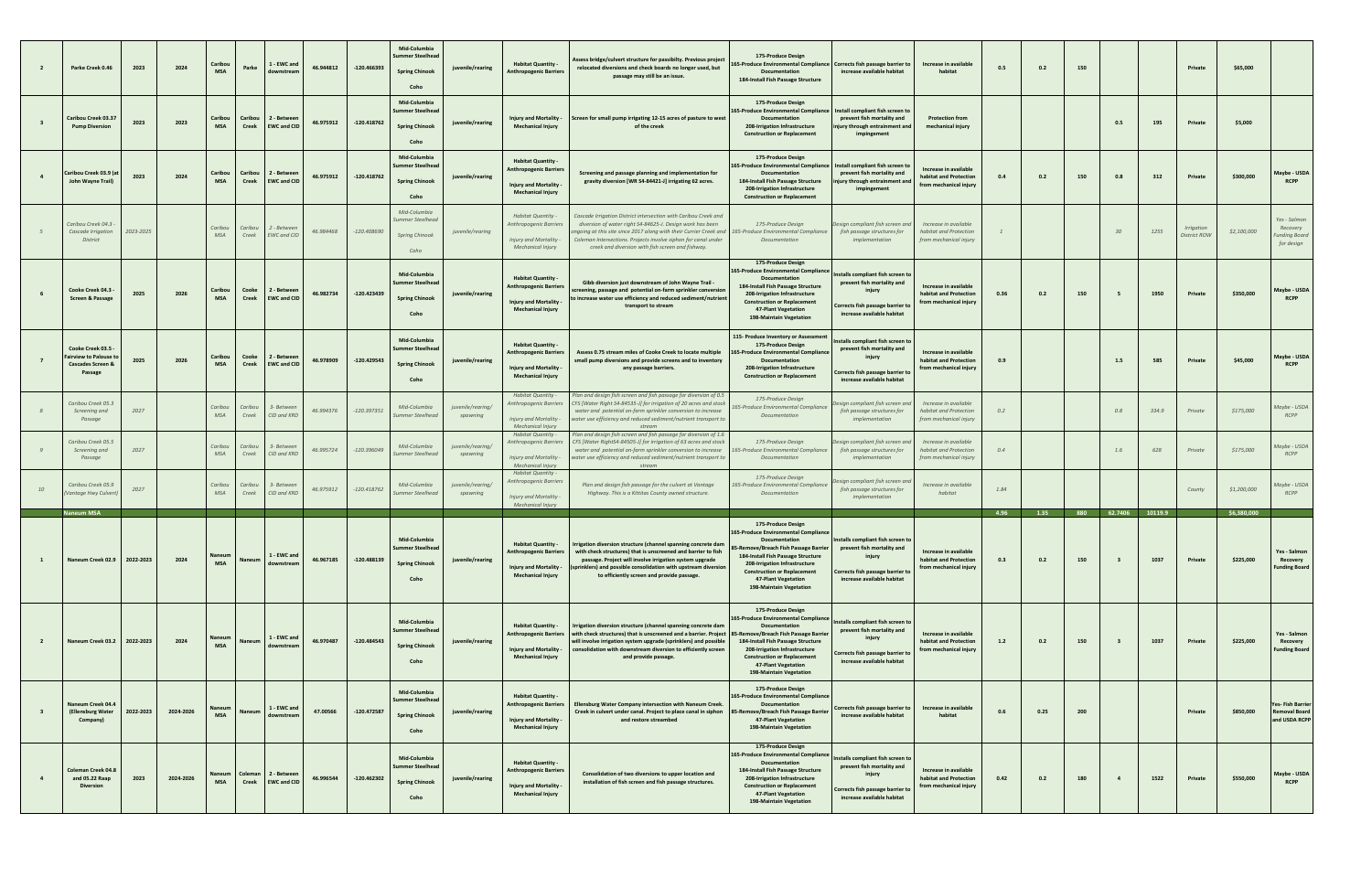| $\overline{2}$ | Parke Creek 0.46                                                                            | 2023      | 2024      | Caribou<br><b>MSA</b> | Parke                   | 1 - EWC and<br>downstrear         | 46.944812 | $-120.466393$ | Mid-Columbia<br><b>Summer Steelhead</b><br><b>Spring Chinook</b><br>Coho | juvenile/rearing              | <b>Habitat Quantity -</b><br>Anthropogenic Barriers                                                                   | Assess bridge/culvert structure for passibilty. Previous project<br>relocated diversions and check boards no longer used, but<br>passage may still be an issue                                                                                                                                                            | 175-Produce Design<br>65-Produce Environmental Compliance Corrects fish passage barrier to<br>Documentation<br>184-Install Fish Passage Structure                                                                                                                                   | increase available habitat                                                                                                                  | Increase in available<br>habitat                                                 | 0.5         | 0.2         | 150 |                                        |                 | Private                    | \$65,000                 |                                                                  |
|----------------|---------------------------------------------------------------------------------------------|-----------|-----------|-----------------------|-------------------------|-----------------------------------|-----------|---------------|--------------------------------------------------------------------------|-------------------------------|-----------------------------------------------------------------------------------------------------------------------|---------------------------------------------------------------------------------------------------------------------------------------------------------------------------------------------------------------------------------------------------------------------------------------------------------------------------|-------------------------------------------------------------------------------------------------------------------------------------------------------------------------------------------------------------------------------------------------------------------------------------|---------------------------------------------------------------------------------------------------------------------------------------------|----------------------------------------------------------------------------------|-------------|-------------|-----|----------------------------------------|-----------------|----------------------------|--------------------------|------------------------------------------------------------------|
|                | Caribou Creek 03.37<br><b>Pump Diversion</b>                                                | 2023      | 2023      | Caribou<br><b>MSA</b> | Caribou<br><b>Creek</b> | 2 - Betwee<br><b>EWC and CID</b>  | 46.975912 | $-120.418762$ | Mid-Columbia<br>Summer Steelhead<br><b>Spring Chinook</b><br>Coho        | juvenile/rearing              | Injury and Mortality -<br><b>Mechanical Injury</b>                                                                    | Screen for small pump irrigating 12-15 acres of pasture to west<br>of the creek                                                                                                                                                                                                                                           | 175-Produce Design<br>165-Produce Environmental Compliance   Install compliant fish screen to<br>Documentation<br>208-Irrigation Infrastructure<br><b>Construction or Replacement</b>                                                                                               | prevent fish mortality and<br>injury through entrainment and<br>impingement                                                                 | <b>Protection from</b><br>mechanical injury                                      |             |             |     | 0.5                                    | 195             | Private                    | \$5,000                  |                                                                  |
|                | Caribou Creek 03.9 (a<br>John Wayne Trail)                                                  | 2023      | 2024      | Caribou<br><b>MSA</b> | Caribou<br><b>Creek</b> | 2 - Betwee<br><b>EWC and CID</b>  | 46.975912 | $-120.418762$ | Mid-Columbia<br><b>Summer Steelhead</b><br><b>Spring Chinook</b><br>Coho | juvenile/rearing              | Habitat Quantity -<br><b>Anthropogenic Barriers</b><br><b>Injury and Mortality</b><br><b>Mechanical Injury</b>        | Screening and passage planning and implementation for<br>gravity diversion [WR S4-84421-J] irrigating 62 acres.                                                                                                                                                                                                           | 175-Produce Design<br>165-Produce Environmental Compliance<br>Documentation<br>184-Install Fish Passage Structure<br>208-Irrigation Infrastructure<br><b>Construction or Replacement</b>                                                                                            | Install compliant fish screen to<br>prevent fish mortality and<br>njury through entrainment ar<br>impingement                               | <b>Increase in available</b><br>habitat and Protection<br>from mechanical injury | 0.4         | 0.2         | 150 | 0.8                                    | 312             | Private                    | \$300,000                | Maybe - USDA<br><b>RCPP</b>                                      |
|                | Caribou Creek 04.3<br>Cascade Irrigation<br>District                                        | 2023-2025 |           | Caribou<br>MSA        | Caribou<br>Creek        | ! - Betwee<br><b>EWC</b> and CID  | 46.984468 | $-120.408690$ | Mid-Columbia<br>ummer Steelhead<br><b>Spring Chinook</b><br>Coho         | juvenile/rearing              | Habitat Quantity -<br>Anthropogenic Barriers<br><b>Injury and Mortality -</b><br><b>Mechanical Injury</b>             | Cascade Irrigation District intersection with Caribou Creek and<br>diversion of water right S4-84625-J. Design work has been<br>ongoing at this site since 2017 along with their Currier Creek and<br>Coleman Intersections. Projects involve siphon for canal under<br>creek and diversion with fish screen and fishway. | 175-Produce Design<br>165-Produce Environmental Compliance<br>Documentation                                                                                                                                                                                                         | esign compliant fish screen an<br>fish passage structures for<br>implementation                                                             | Increase in available<br>habitat and Protection<br>from mechanical injury        |             |             |     | 30                                     | 1255            | Irrigation<br>District ROW | \$2,100,000              | Yes - Salmon<br>Recovery<br>unding Board<br>for design           |
|                | Cooke Creek 04.3<br><b>Screen &amp; Passage</b>                                             | 2025      | 2026      | Caribou<br><b>MSA</b> | Cooke<br>Creek          | 2 - Betweer<br><b>EWC and CID</b> | 46.982734 | $-120.423439$ | Mid-Columbia<br>Summer Steelhead<br><b>Spring Chinook</b><br>Coho        | juvenile/rearing              | <b>Habitat Quantity -</b><br>Anthropogenic Barriers<br><b>Injury and Mortality</b><br><b>Mechanical Injury</b>        | Gibb diversion just downstream of John Wayne Trail -<br>screening, passage and potential on-farm sprinkler conversion<br>to increase water use efficiency and reduced sediment/nutrient<br>transport to stream                                                                                                            | 175-Produce Design<br>165-Produce Environmental Compliance<br>Documentation<br>184-Install Fish Passage Structure<br>208-Irrigation Infrastructure<br><b>Construction or Replacement</b><br>47-Plant Vegetation<br>198-Maintain Vegetation                                          | Installs compliant fish screen to<br>prevent fish mortality and<br>injury<br>Corrects fish passage barrier to<br>increase available habitat | <b>Increase in available</b><br>habitat and Protection<br>from mechanical injury | 0.36        | 0.2         | 150 | - 5                                    | 1950            | Private                    | \$350,000                | Maybe - USDA<br><b>RCPP</b>                                      |
|                | Cooke Creek 03.5<br><b>Fairview to Palouse t</b><br><b>Cascades Screen &amp;</b><br>Passage | 2025      | 2026      | Caribou<br><b>MSA</b> | Cooke<br><b>Creek</b>   | 2 - Between<br><b>EWC and CID</b> | 46.978909 | $-120.429543$ | Mid-Columbia<br>Summer Steelhead<br><b>Spring Chinook</b><br>Coho        | juvenile/rearing              | <b>Habitat Quantity -</b><br><b>Anthropogenic Barriers</b><br>Injury and Mortality -<br><b>Mechanical Injury</b>      | Assess 0.75 stream miles of Cooke Creek to locate multiple<br>small pump diversions and provide screens and to inventory<br>any passage barriers.                                                                                                                                                                         | 115- Produce Inventory or Assessment<br>175-Produce Design<br><b>165-Produce Environmental Compliance</b><br>Documentation<br>208-Irrigation Infrastructure<br><b>Construction or Replacement</b>                                                                                   | Installs compliant fish screen to<br>prevent fish mortality and<br>injury<br>orrects fish passage barrier<br>increase available habitat     | Increase in available<br>habitat and Protection<br>from mechanical injury        | 0.9         |             |     | $1.5\,$                                | 585             | Private                    | \$45,000                 | Maybe - USDA<br><b>RCPP</b>                                      |
|                | Caribou Creek 05.3<br>Screening and<br>Passage                                              | 2027      |           | Caribou<br><b>MSA</b> | Caribou<br>Creek        | 3- Betweer<br>CID and KRD         | 46.994376 | $-120.397351$ | Mid-Columbia<br><b>ummer Steelhead</b>                                   | juvenile/rearing/<br>spawning | Habitat Quantity -<br>Anthropogenic Barriers<br>Injury and Mortality<br>Mechanical Injury                             | Plan and design fish screen and fish passage for diversion of 0.5<br>CFS [Water Right S4-84535-J] for irrigation of 20 acres and stock<br>water and potential on-farm sprinkler conversion to increase<br>water use efficiency and reduced sediment/nutrient transport to                                                 | 175-Produce Design<br>5-Produce Environmental Complianc<br>Documentation                                                                                                                                                                                                            | sign compliant fish screen an<br>fish passage structures for<br>implementation                                                              | Increase in available<br>habitat and Protection<br>from mechanical injury        | 0.2         |             |     | 0.8                                    | 334.9           | Private                    | \$175,000                | Maybe - USDA<br>RCPP                                             |
|                | Caribou Creek 05.5<br>Screening and<br>Passage                                              | 2027      |           | Caribou<br>MSA        | Caribou<br>Creek        | 3- Betweer<br>CID and KRD         | 46.995724 | -120.396049   | Mid-Columbia<br>Summer Steelhead                                         | juvenile/rearing/<br>spawning | Habitat Quantity -<br>Anthropogenic Barriers<br>Injury and Mortality<br><b>Mechanical Injury</b>                      | Plan and design fish screen and fish passage for diversion of 1.6<br>CFS [Water RightS4-84505-J] for irrigation of 63 acres and stock<br>water and potential on-farm sprinkler conversion to increase<br>water use efficiency and reduced sediment/nutrient transport to<br>stream                                        | 175-Produce Design<br>65-Produce Environmental Compliance<br>Documentation                                                                                                                                                                                                          | sign compliant fish screen an<br>fish passage structures for<br>implementation                                                              | Increase in available<br>habitat and Protection<br>from mechanical injury        | 0.4         |             |     | 1.6                                    | 628             | Private                    | \$175,000                | Maybe - USDA<br>RCPP                                             |
|                | Caribou Creek 05.9<br>/antage Hwy Culvert                                                   | 2027      |           | Caribou<br>MSA        | Caribou<br>Creek        | 3- Betweer<br>CID and KRD         | 46.975912 | $-120.418762$ | Mid-Columbia<br>Summer Steelhead                                         | juvenile/rearing/<br>spawning | <b>Habitat Quantity -</b><br>Anthropogenic Barriers<br>Injury and Mortality<br>Mechanical Injury                      | Plan and design fish passage for the culvert at Vantage<br>Highway. This is a Kittitas County owned structure.                                                                                                                                                                                                            | 175-Produce Design<br>65-Produce Environmental Compliance<br>Documentation                                                                                                                                                                                                          | iign compliant fish screen anı<br>fish passage structures for<br>implementation                                                             | Increase in available<br>habitat                                                 | 1.84        |             |     |                                        |                 | County                     | \$1,200,000              | Maybe - USDA<br><b>RCPP</b>                                      |
|                | <b>Naneum MSA</b><br>Naneum Creek 02.9                                                      | 2022-2023 | 2024      | Naneum<br><b>MSA</b>  | Naneum                  | 1 - EWC and<br>downstrean         | 46.967185 | $-120.488139$ | Mid-Columbia<br><b>Summer Steelhead</b><br><b>Spring Chinook</b><br>Coho | juvenile/rearing              | <b>Habitat Quantity -</b><br><b>Anthropogenic Barriers</b><br><b>Injury and Mortality</b><br><b>Mechanical Injury</b> | Irrigation diversion structure (channel spanning concrete dam<br>with check structures) that is unscreened and barrier to fish<br>passage. Project will involve irrigation system upgrade<br>(sprinklers) and possible consolidation with upstream diversion<br>to efficiently screen and provide passage.                | 175-Produce Design<br>165-Produce Environmental Compliance<br>Documentation<br>85-Remove/Breach Fish Passage Barrier<br>184-Install Fish Passage Structure<br>208-Irrigation Infrastructure<br><b>Construction or Replacement</b><br>47-Plant Vegetation<br>198-Maintain Vegetation | Installs compliant fish screen to<br>prevent fish mortality and<br>injury<br>Corrects fish passage barrier to<br>increase available habitat | Increase in available<br>habitat and Protection<br>from mechanical injury        | 4.96<br>0.3 | 1.35<br>0.2 | 150 | 880 62.7406<br>$\overline{\mathbf{3}}$ | 10119.9<br>1037 | Private                    | \$6,380,000<br>\$225,000 | Yes - Salmon<br>Recovery<br><b>Funding Board</b>                 |
| $\overline{2}$ | Naneum Creek 03.2                                                                           | 2022-2023 | 2024      | Naneun<br><b>MSA</b>  | Naneum                  | 1 - EWC and<br>downstream         | 46.970487 | $-120.484543$ | Mid-Columbia<br>Summer Steelhead<br><b>Spring Chinook</b><br>Coho        | juvenile/rearing              | <b>Habitat Quantity -</b><br><b>Anthropogenic Barriers</b><br><b>Injury and Mortality</b><br><b>Mechanical Injury</b> | Irrigation diversion structure (channel spanning concrete dam<br>with check structures) that is unscreened and a barrier. Project<br>will involve irrigation system upgrade (sprinklers) and possible<br>consolidation with downstream diversion to efficiently screen<br>and provide passage.                            | 175-Produce Design<br>165-Produce Environmental Compliance<br>Documentation<br>85-Remove/Breach Fish Passage Barrier<br>184-Install Fish Passage Structure<br>208-Irrigation Infrastructure<br><b>Construction or Replacement</b><br>47-Plant Vegetation<br>198-Maintain Vegetation | Installs compliant fish screen to<br>prevent fish mortality and<br>injury<br>Corrects fish passage barrier to<br>increase available habitat | Increase in available<br>habitat and Protection<br>from mechanical injury        | $1.2$       | 0.2         | 150 | $\overline{\mathbf{3}}$                | 1037            | Private                    | \$225,000                | Yes - Salmon<br>Recovery<br><b>Funding Board</b>                 |
|                | Naneum Creek 04.4<br>(Ellensburg Water<br>Company)                                          | 2022-2023 | 2024-2026 | Naneum<br><b>MSA</b>  | Naneum                  | 1 - EWC and<br>downstream         | 47.00566  | $-120.472587$ | Mid-Columbia<br><b>Summer Steelhead</b><br><b>Spring Chinook</b><br>Coho | juvenile/rearing              | <b>Habitat Quantity -</b><br>Anthropogenic Barriers<br>Injury and Mortality -<br><b>Mechanical Injury</b>             | Ellensburg Water Company intersection with Naneum Creek.<br>Creek in culvert under canal. Project to place canal in siphon<br>and restore streambed                                                                                                                                                                       | 175-Produce Design<br>165-Produce Environmental Compliance<br>Documentation<br>85-Remove/Breach Fish Passage Barrier<br><b>47-Plant Vegetation</b><br>198-Maintain Vegetation                                                                                                       | Corrects fish passage barrier to<br>increase available habitat                                                                              | Increase in available<br>habitat                                                 | 0.6         | 0.25        | 200 |                                        |                 | Private                    | \$850,000                | <b>Yes-Fish Barrier</b><br><b>Removal Board</b><br>and USDA RCPP |
|                | Coleman Creek 04.8<br>and 05.22 Raap<br><b>Diversion</b>                                    | 2023      | 2024-2026 | Naneum<br><b>MSA</b>  | Coleman<br>Creek        | 2 - Betweer<br><b>EWC and CID</b> | 46.996544 | $-120.462302$ | Mid-Columbia<br>Summer Steelhead<br><b>Spring Chinook</b><br>Coho        | juvenile/rearing              | <b>Habitat Quantity -</b><br><b>Anthropogenic Barriers</b><br>Injury and Mortality<br><b>Mechanical Injury</b>        | Consolidation of two diversions to upper location and<br>installation of fish screen and fish passage structures.                                                                                                                                                                                                         | 175-Produce Design<br>165-Produce Environmental Compliance<br>Documentation<br>184-Install Fish Passage Structure<br>208-Irrigation Infrastructure<br><b>Construction or Replacement</b><br>47-Plant Vegetation<br>198-Maintain Vegetation                                          | Installs compliant fish screen to<br>prevent fish mortality and<br>injury<br>Corrects fish passage barrier t<br>increase available habitat  | Increase in available<br>habitat and Protection<br>from mechanical injury        | 0.42        | 0.2         | 180 | $\overline{4}$                         | 1522            | Private                    | \$550,000                | Maybe - USDA<br><b>RCPP</b>                                      |